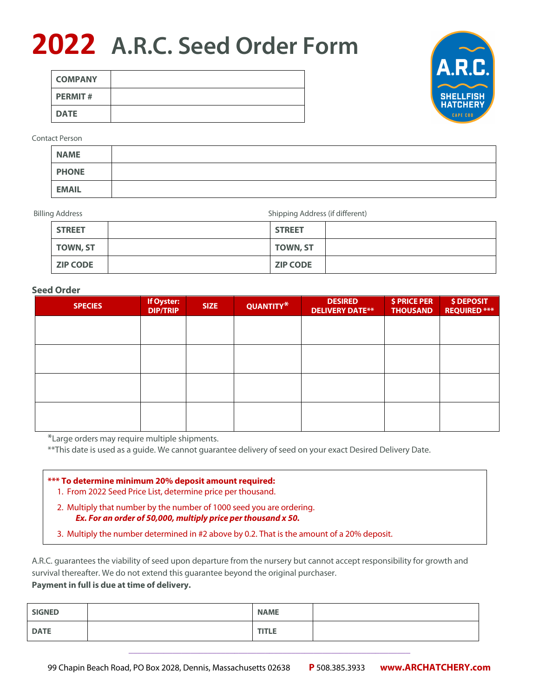## **2022 A.R.C. Seed Order Form**

| <b>COMPANY</b> |  |
|----------------|--|
| <b>PERMIT#</b> |  |
| <b>DATE</b>    |  |



#### Contact Person

| <b>NAME</b>  |  |
|--------------|--|
| <b>PHONE</b> |  |
| <b>EMAIL</b> |  |

Billing Address **Shipping Address** (if different)

| <b>STREET</b>   | <b>STREET</b>   |  |
|-----------------|-----------------|--|
| <b>TOWN, ST</b> | <b>TOWN, ST</b> |  |
| <b>ZIP CODE</b> | <b>ZIP CODE</b> |  |

#### **Seed Order**

| <b>SPECIES</b> | If Oyster:<br><b>DIP/TRIP</b> | <b>SIZE</b> | QUANTITY* | <b>DESIRED</b><br><b>DELIVERY DATE**</b> | \$ PRICE PER<br><b>THOUSAND</b> | \$ DEPOSIT<br><b>REQUIRED ***</b> |
|----------------|-------------------------------|-------------|-----------|------------------------------------------|---------------------------------|-----------------------------------|
|                |                               |             |           |                                          |                                 |                                   |
|                |                               |             |           |                                          |                                 |                                   |
|                |                               |             |           |                                          |                                 |                                   |
|                |                               |             |           |                                          |                                 |                                   |
|                |                               |             |           |                                          |                                 |                                   |
|                |                               |             |           |                                          |                                 |                                   |
|                |                               |             |           |                                          |                                 |                                   |

\*Large orders may require multiple shipments.

\*\*This date is used as a guide. We cannot guarantee delivery of seed on your exact Desired Delivery Date.

|  | *** To determine minimum 20% deposit amount required:                                                          |  |  |  |  |
|--|----------------------------------------------------------------------------------------------------------------|--|--|--|--|
|  | the contract of the state of the state of the state of the state of the state of the state of the state of the |  |  |  |  |

- 1. From 2022 Seed Price List, determine price per thousand.
- 2. Multiply that number by the number of 1000 seed you are ordering. *Ex. For an order of 50,000, multiply price per thousand x 50.*
- 3. Multiply the number determined in #2 above by 0.2. That is the amount of a 20% deposit.

A.R.C. guarantees the viability of seed upon departure from the nursery but cannot accept responsibility for growth and survival thereafter. We do not extend this guarantee beyond the original purchaser. **Payment in full is due at time of delivery.**

| <b>SIGNED</b> | <b>NAME</b>  |  |
|---------------|--------------|--|
| <b>DATE</b>   | <b>TITLE</b> |  |